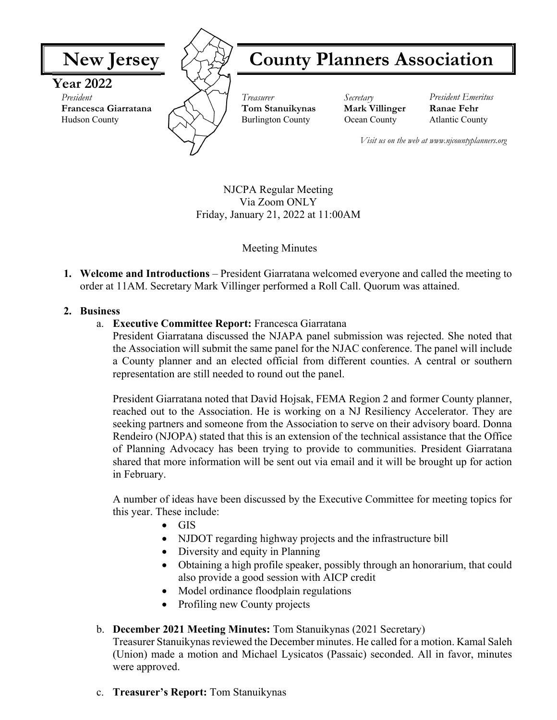

NJCPA Regular Meeting Via Zoom ONLY Friday, January 21, 2022 at 11:00AM

Meeting Minutes

**1. Welcome and Introductions** – President Giarratana welcomed everyone and called the meeting to order at 11AM. Secretary Mark Villinger performed a Roll Call. Quorum was attained.

#### **2. Business**

a. **Executive Committee Report:** Francesca Giarratana

President Giarratana discussed the NJAPA panel submission was rejected. She noted that the Association will submit the same panel for the NJAC conference. The panel will include a County planner and an elected official from different counties. A central or southern representation are still needed to round out the panel.

President Giarratana noted that David Hojsak, FEMA Region 2 and former County planner, reached out to the Association. He is working on a NJ Resiliency Accelerator. They are seeking partners and someone from the Association to serve on their advisory board. Donna Rendeiro (NJOPA) stated that this is an extension of the technical assistance that the Office of Planning Advocacy has been trying to provide to communities. President Giarratana shared that more information will be sent out via email and it will be brought up for action in February.

A number of ideas have been discussed by the Executive Committee for meeting topics for this year. These include:

- GIS
- NJDOT regarding highway projects and the infrastructure bill
- Diversity and equity in Planning
- Obtaining a high profile speaker, possibly through an honorarium, that could also provide a good session with AICP credit
- Model ordinance floodplain regulations
- Profiling new County projects

# b. **December 2021 Meeting Minutes:** Tom Stanuikynas (2021 Secretary)

Treasurer Stanuikynas reviewed the December minutes. He called for a motion. Kamal Saleh (Union) made a motion and Michael Lysicatos (Passaic) seconded. All in favor, minutes were approved.

c. **Treasurer's Report:** Tom Stanuikynas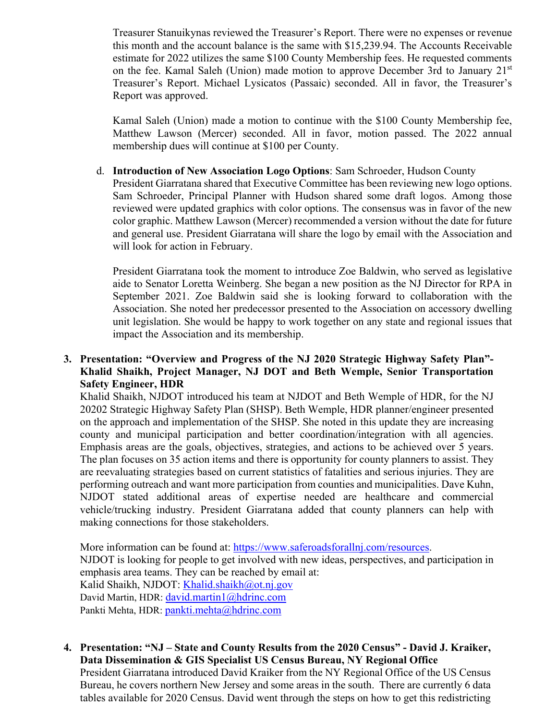Treasurer Stanuikynas reviewed the Treasurer's Report. There were no expenses or revenue this month and the account balance is the same with \$15,239.94. The Accounts Receivable estimate for 2022 utilizes the same \$100 County Membership fees. He requested comments on the fee. Kamal Saleh (Union) made motion to approve December 3rd to January 21<sup>st</sup> Treasurer's Report. Michael Lysicatos (Passaic) seconded. All in favor, the Treasurer's Report was approved.

Kamal Saleh (Union) made a motion to continue with the \$100 County Membership fee, Matthew Lawson (Mercer) seconded. All in favor, motion passed. The 2022 annual membership dues will continue at \$100 per County.

d. **Introduction of New Association Logo Options**: Sam Schroeder, Hudson County

President Giarratana shared that Executive Committee has been reviewing new logo options. Sam Schroeder, Principal Planner with Hudson shared some draft logos. Among those reviewed were updated graphics with color options. The consensus was in favor of the new color graphic. Matthew Lawson (Mercer) recommended a version without the date for future and general use. President Giarratana will share the logo by email with the Association and will look for action in February.

President Giarratana took the moment to introduce Zoe Baldwin, who served as legislative aide to Senator Loretta Weinberg. She began a new position as the NJ Director for RPA in September 2021. Zoe Baldwin said she is looking forward to collaboration with the Association. She noted her predecessor presented to the Association on accessory dwelling unit legislation. She would be happy to work together on any state and regional issues that impact the Association and its membership.

#### **3. Presentation: "Overview and Progress of the NJ 2020 Strategic Highway Safety Plan"- Khalid Shaikh, Project Manager, NJ DOT and Beth Wemple, Senior Transportation Safety Engineer, HDR**

Khalid Shaikh, NJDOT introduced his team at NJDOT and Beth Wemple of HDR, for the NJ 20202 Strategic Highway Safety Plan (SHSP). Beth Wemple, HDR planner/engineer presented on the approach and implementation of the SHSP. She noted in this update they are increasing county and municipal participation and better coordination/integration with all agencies. Emphasis areas are the goals, objectives, strategies, and actions to be achieved over 5 years. The plan focuses on 35 action items and there is opportunity for county planners to assist. They are reevaluating strategies based on current statistics of fatalities and serious injuries. They are performing outreach and want more participation from counties and municipalities. Dave Kuhn, NJDOT stated additional areas of expertise needed are healthcare and commercial vehicle/trucking industry. President Giarratana added that county planners can help with making connections for those stakeholders.

More information can be found at: https://www.saferoadsforallnj.com/resources. NJDOT is looking for people to get involved with new ideas, perspectives, and participation in emphasis area teams. They can be reached by email at: Kalid Shaikh, NJDOT: Khalid.shaikh@ot.nj.gov David Martin, HDR: david.martin1@hdrinc.com Pankti Mehta, HDR: pankti.mehta@hdrinc.com

**4. Presentation: "NJ – State and County Results from the 2020 Census" - David J. Kraiker, Data Dissemination & GIS Specialist US Census Bureau, NY Regional Office**  President Giarratana introduced David Kraiker from the NY Regional Office of the US Census Bureau, he covers northern New Jersey and some areas in the south. There are currently 6 data tables available for 2020 Census. David went through the steps on how to get this redistricting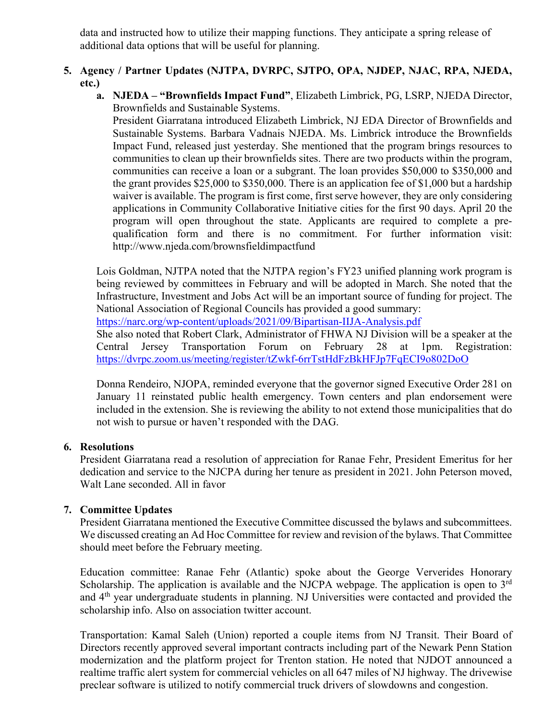data and instructed how to utilize their mapping functions. They anticipate a spring release of additional data options that will be useful for planning.

# **5. Agency / Partner Updates (NJTPA, DVRPC, SJTPO, OPA, NJDEP, NJAC, RPA, NJEDA, etc.)**

**a. NJEDA – "Brownfields Impact Fund"**, Elizabeth Limbrick, PG, LSRP, NJEDA Director, Brownfields and Sustainable Systems.

President Giarratana introduced Elizabeth Limbrick, NJ EDA Director of Brownfields and Sustainable Systems. Barbara Vadnais NJEDA. Ms. Limbrick introduce the Brownfields Impact Fund, released just yesterday. She mentioned that the program brings resources to communities to clean up their brownfields sites. There are two products within the program, communities can receive a loan or a subgrant. The loan provides \$50,000 to \$350,000 and the grant provides \$25,000 to \$350,000. There is an application fee of \$1,000 but a hardship waiver is available. The program is first come, first serve however, they are only considering applications in Community Collaborative Initiative cities for the first 90 days. April 20 the program will open throughout the state. Applicants are required to complete a prequalification form and there is no commitment. For further information visit: http://www.njeda.com/brownsfieldimpactfund

Lois Goldman, NJTPA noted that the NJTPA region's FY23 unified planning work program is being reviewed by committees in February and will be adopted in March. She noted that the Infrastructure, Investment and Jobs Act will be an important source of funding for project. The National Association of Regional Councils has provided a good summary:

https://narc.org/wp-content/uploads/2021/09/Bipartisan-IIJA-Analysis.pdf

She also noted that Robert Clark, Administrator of FHWA NJ Division will be a speaker at the Central Jersey Transportation Forum on February 28 at 1pm. Registration: https://dvrpc.zoom.us/meeting/register/tZwkf-6rrTstHdFzBkHFJp7FqECI9o802DoO

Donna Rendeiro, NJOPA, reminded everyone that the governor signed Executive Order 281 on January 11 reinstated public health emergency. Town centers and plan endorsement were included in the extension. She is reviewing the ability to not extend those municipalities that do not wish to pursue or haven't responded with the DAG.

# **6. Resolutions**

President Giarratana read a resolution of appreciation for Ranae Fehr, President Emeritus for her dedication and service to the NJCPA during her tenure as president in 2021. John Peterson moved, Walt Lane seconded. All in favor

# **7. Committee Updates**

President Giarratana mentioned the Executive Committee discussed the bylaws and subcommittees. We discussed creating an Ad Hoc Committee for review and revision of the bylaws. That Committee should meet before the February meeting.

Education committee: Ranae Fehr (Atlantic) spoke about the George Ververides Honorary Scholarship. The application is available and the NJCPA webpage. The application is open to  $3<sup>rd</sup>$ and 4<sup>th</sup> year undergraduate students in planning. NJ Universities were contacted and provided the scholarship info. Also on association twitter account.

Transportation: Kamal Saleh (Union) reported a couple items from NJ Transit. Their Board of Directors recently approved several important contracts including part of the Newark Penn Station modernization and the platform project for Trenton station. He noted that NJDOT announced a realtime traffic alert system for commercial vehicles on all 647 miles of NJ highway. The drivewise preclear software is utilized to notify commercial truck drivers of slowdowns and congestion.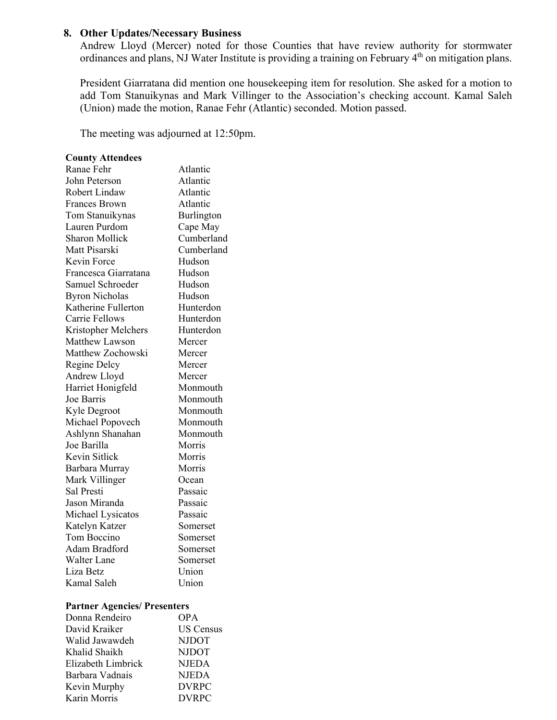#### **8. Other Updates/Necessary Business**

Andrew Lloyd (Mercer) noted for those Counties that have review authority for stormwater ordinances and plans, NJ Water Institute is providing a training on February 4<sup>th</sup> on mitigation plans.

President Giarratana did mention one housekeeping item for resolution. She asked for a motion to add Tom Stanuikynas and Mark Villinger to the Association's checking account. Kamal Saleh (Union) made the motion, Ranae Fehr (Atlantic) seconded. Motion passed.

The meeting was adjourned at 12:50pm.

#### **County Attendees**

| Ranae Fehr            | Atlantic   |
|-----------------------|------------|
| John Peterson         | Atlantic   |
| <b>Robert Lindaw</b>  | Atlantic   |
| <b>Frances Brown</b>  | Atlantic   |
| Tom Stanuikynas       | Burlington |
| Lauren Purdom         | Cape May   |
| <b>Sharon Mollick</b> | Cumberland |
| Matt Pisarski         | Cumberland |
| Kevin Force           | Hudson     |
| Francesca Giarratana  | Hudson     |
| Samuel Schroeder      | Hudson     |
| <b>Byron Nicholas</b> | Hudson     |
| Katherine Fullerton   | Hunterdon  |
| Carrie Fellows        | Hunterdon  |
| Kristopher Melchers   | Hunterdon  |
| Matthew Lawson        | Mercer     |
| Matthew Zochowski     | Mercer     |
| Regine Delcy          | Mercer     |
| Andrew Lloyd          | Mercer     |
| Harriet Honigfeld     | Monmouth   |
| Joe Barris            | Monmouth   |
| Kyle Degroot          | Monmouth   |
| Michael Popovech      | Monmouth   |
| Ashlynn Shanahan      | Monmouth   |
| Joe Barilla           | Morris     |
| Kevin Sitlick         | Morris     |
| Barbara Murray        | Morris     |
| Mark Villinger        | Ocean      |
| Sal Presti            | Passaic    |
| Jason Miranda         | Passaic    |
| Michael Lysicatos     | Passaic    |
| Katelyn Katzer        | Somerset   |
| Tom Boccino           | Somerset   |
| Adam Bradford         | Somerset   |
| <b>Walter Lane</b>    | Somerset   |
| Liza Betz             | Union      |
| Kamal Saleh           | Union      |

#### **Partner Agencies/ Presenters**

| Donna Rendeiro     | <b>OPA</b>       |
|--------------------|------------------|
| David Kraiker      | <b>US Census</b> |
| Walid Jawawdeh     | <b>NJDOT</b>     |
| Khalid Shaikh      | <b>NJDOT</b>     |
| Elizabeth Limbrick | <b>NJEDA</b>     |
| Barbara Vadnais    | <b>NJEDA</b>     |
| Kevin Murphy       | <b>DVRPC</b>     |
| Karin Morris       | <b>DVRPC</b>     |